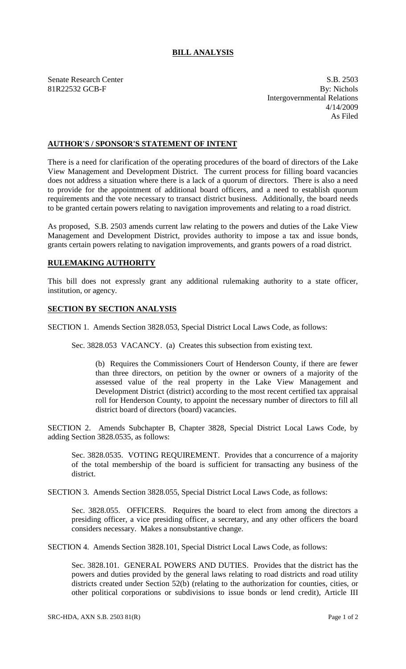## **BILL ANALYSIS**

Senate Research Center S.B. 2503 81R22532 GCB-F By: Nichols Intergovernmental Relations 4/14/2009 As Filed

## **AUTHOR'S / SPONSOR'S STATEMENT OF INTENT**

There is a need for clarification of the operating procedures of the board of directors of the Lake View Management and Development District. The current process for filling board vacancies does not address a situation where there is a lack of a quorum of directors. There is also a need to provide for the appointment of additional board officers, and a need to establish quorum requirements and the vote necessary to transact district business. Additionally, the board needs to be granted certain powers relating to navigation improvements and relating to a road district.

As proposed, S.B. 2503 amends current law relating to the powers and duties of the Lake View Management and Development District, provides authority to impose a tax and issue bonds, grants certain powers relating to navigation improvements, and grants powers of a road district.

## **RULEMAKING AUTHORITY**

This bill does not expressly grant any additional rulemaking authority to a state officer, institution, or agency.

## **SECTION BY SECTION ANALYSIS**

SECTION 1. Amends Section 3828.053, Special District Local Laws Code, as follows:

Sec. 3828.053 VACANCY. (a) Creates this subsection from existing text.

(b) Requires the Commissioners Court of Henderson County, if there are fewer than three directors, on petition by the owner or owners of a majority of the assessed value of the real property in the Lake View Management and Development District (district) according to the most recent certified tax appraisal roll for Henderson County, to appoint the necessary number of directors to fill all district board of directors (board) vacancies.

SECTION 2. Amends Subchapter B, Chapter 3828, Special District Local Laws Code, by adding Section 3828.0535, as follows:

Sec. 3828.0535. VOTING REQUIREMENT. Provides that a concurrence of a majority of the total membership of the board is sufficient for transacting any business of the district.

SECTION 3. Amends Section 3828.055, Special District Local Laws Code, as follows:

Sec. 3828.055. OFFICERS. Requires the board to elect from among the directors a presiding officer, a vice presiding officer, a secretary, and any other officers the board considers necessary. Makes a nonsubstantive change.

SECTION 4. Amends Section 3828.101, Special District Local Laws Code, as follows:

Sec. 3828.101. GENERAL POWERS AND DUTIES. Provides that the district has the powers and duties provided by the general laws relating to road districts and road utility districts created under Section 52(b) (relating to the authorization for counties, cities, or other political corporations or subdivisions to issue bonds or lend credit), Article III